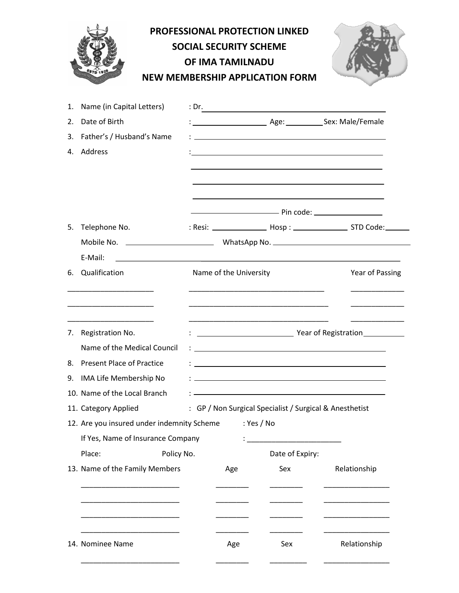|    |                                                                    | <b>PROFESSIONAL PROTECTION LINKED</b><br><b>SOCIAL SECURITY SCHEME</b><br><b>OF IMA TAMILNADU</b><br><b>NEW MEMBERSHIP APPLICATION FORM</b> |                                              |                                                                                                                                                                                                                               |              |  |  |  |
|----|--------------------------------------------------------------------|---------------------------------------------------------------------------------------------------------------------------------------------|----------------------------------------------|-------------------------------------------------------------------------------------------------------------------------------------------------------------------------------------------------------------------------------|--------------|--|--|--|
| 1. | Name (in Capital Letters)                                          |                                                                                                                                             |                                              | : Dr.                                                                                                                                                                                                                         |              |  |  |  |
| 2. | Date of Birth                                                      |                                                                                                                                             |                                              |                                                                                                                                                                                                                               |              |  |  |  |
|    | 3. Father's / Husband's Name                                       |                                                                                                                                             |                                              | <u> 1989 - Johann Harry Harry Harry Harry Harry Harry Harry Harry Harry Harry Harry Harry Harry Harry Harry Harry</u>                                                                                                         |              |  |  |  |
|    | 4. Address                                                         |                                                                                                                                             |                                              | the control of the control of the control of the control of the control of the control of the control of the control of the control of the control of the control of the control of the control of the control of the control |              |  |  |  |
|    |                                                                    |                                                                                                                                             |                                              |                                                                                                                                                                                                                               |              |  |  |  |
|    |                                                                    |                                                                                                                                             |                                              | <u>December 2001 - Pin code:</u>                                                                                                                                                                                              |              |  |  |  |
|    | 5. Telephone No.                                                   |                                                                                                                                             |                                              |                                                                                                                                                                                                                               |              |  |  |  |
|    |                                                                    |                                                                                                                                             |                                              |                                                                                                                                                                                                                               |              |  |  |  |
|    | E-Mail:<br><u> 1980 - Johann Stein, marwolaethau a bhann an t-</u> |                                                                                                                                             |                                              |                                                                                                                                                                                                                               |              |  |  |  |
|    | 6. Qualification                                                   |                                                                                                                                             | Name of the University<br>Year of Passing    |                                                                                                                                                                                                                               |              |  |  |  |
|    |                                                                    |                                                                                                                                             |                                              |                                                                                                                                                                                                                               |              |  |  |  |
|    | 7. Registration No.                                                |                                                                                                                                             | <b>Manufacture 1996</b> Year of Registration |                                                                                                                                                                                                                               |              |  |  |  |
|    | Name of the Medical Council                                        |                                                                                                                                             |                                              |                                                                                                                                                                                                                               |              |  |  |  |
| 8. | <b>Present Place of Practice</b>                                   |                                                                                                                                             |                                              |                                                                                                                                                                                                                               |              |  |  |  |
| 9. | IMA Life Membership No<br>10. Name of the Local Branch             |                                                                                                                                             |                                              |                                                                                                                                                                                                                               |              |  |  |  |
|    |                                                                    |                                                                                                                                             |                                              |                                                                                                                                                                                                                               |              |  |  |  |
|    | 11. Category Applied<br>12. Are you insured under indemnity Scheme |                                                                                                                                             |                                              | : GP / Non Surgical Specialist / Surgical & Anesthetist<br>: Yes / No                                                                                                                                                         |              |  |  |  |
|    | If Yes, Name of Insurance Company                                  |                                                                                                                                             |                                              |                                                                                                                                                                                                                               |              |  |  |  |
|    | Place:<br>Policy No.                                               |                                                                                                                                             |                                              | Date of Expiry:                                                                                                                                                                                                               |              |  |  |  |
|    | 13. Name of the Family Members                                     |                                                                                                                                             | Age                                          | Sex                                                                                                                                                                                                                           | Relationship |  |  |  |
|    |                                                                    |                                                                                                                                             |                                              |                                                                                                                                                                                                                               |              |  |  |  |
|    |                                                                    |                                                                                                                                             |                                              |                                                                                                                                                                                                                               |              |  |  |  |
|    |                                                                    |                                                                                                                                             |                                              |                                                                                                                                                                                                                               |              |  |  |  |
|    |                                                                    |                                                                                                                                             |                                              |                                                                                                                                                                                                                               |              |  |  |  |
|    | 14. Nominee Name                                                   |                                                                                                                                             | Age                                          | Sex                                                                                                                                                                                                                           | Relationship |  |  |  |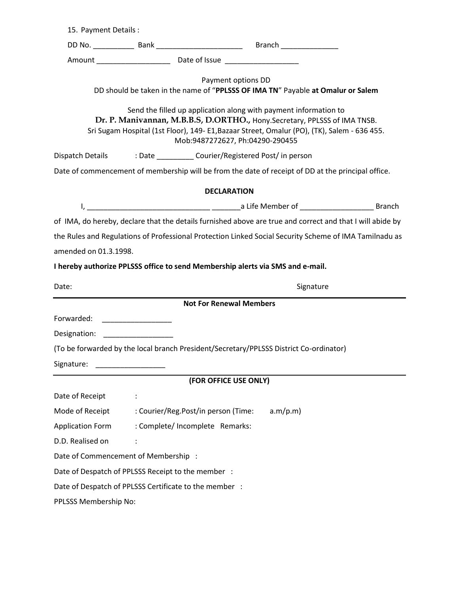| 15. Payment Details:                                                                                                                                                                                                                                                            |                                                                                        |                                                                                 |  |  |  |  |  |  |  |  |  |
|---------------------------------------------------------------------------------------------------------------------------------------------------------------------------------------------------------------------------------------------------------------------------------|----------------------------------------------------------------------------------------|---------------------------------------------------------------------------------|--|--|--|--|--|--|--|--|--|
|                                                                                                                                                                                                                                                                                 |                                                                                        |                                                                                 |  |  |  |  |  |  |  |  |  |
|                                                                                                                                                                                                                                                                                 |                                                                                        |                                                                                 |  |  |  |  |  |  |  |  |  |
|                                                                                                                                                                                                                                                                                 | Payment options DD                                                                     | DD should be taken in the name of "PPLSSS OF IMA TN" Payable at Omalur or Salem |  |  |  |  |  |  |  |  |  |
| Send the filled up application along with payment information to<br>Dr. P. Manivannan, M.B.B.S, D.ORTHO., Hony.Secretary, PPLSSS of IMA TNSB.<br>Sri Sugam Hospital (1st Floor), 149- E1, Bazaar Street, Omalur (PO), (TK), Salem - 636 455.<br>Mob:9487272627, Ph:04290-290455 |                                                                                        |                                                                                 |  |  |  |  |  |  |  |  |  |
| Dispatch Details : Date ____________ Courier/Registered Post/ in person                                                                                                                                                                                                         |                                                                                        |                                                                                 |  |  |  |  |  |  |  |  |  |
| Date of commencement of membership will be from the date of receipt of DD at the principal office.                                                                                                                                                                              |                                                                                        |                                                                                 |  |  |  |  |  |  |  |  |  |
| <b>DECLARATION</b>                                                                                                                                                                                                                                                              |                                                                                        |                                                                                 |  |  |  |  |  |  |  |  |  |
|                                                                                                                                                                                                                                                                                 |                                                                                        |                                                                                 |  |  |  |  |  |  |  |  |  |
| of IMA, do hereby, declare that the details furnished above are true and correct and that I will abide by                                                                                                                                                                       |                                                                                        |                                                                                 |  |  |  |  |  |  |  |  |  |
| the Rules and Regulations of Professional Protection Linked Social Security Scheme of IMA Tamilnadu as                                                                                                                                                                          |                                                                                        |                                                                                 |  |  |  |  |  |  |  |  |  |
| amended on 01.3.1998.                                                                                                                                                                                                                                                           |                                                                                        |                                                                                 |  |  |  |  |  |  |  |  |  |
|                                                                                                                                                                                                                                                                                 | I hereby authorize PPLSSS office to send Membership alerts via SMS and e-mail.         |                                                                                 |  |  |  |  |  |  |  |  |  |
| Signature                                                                                                                                                                                                                                                                       |                                                                                        |                                                                                 |  |  |  |  |  |  |  |  |  |
| Date:                                                                                                                                                                                                                                                                           |                                                                                        |                                                                                 |  |  |  |  |  |  |  |  |  |
|                                                                                                                                                                                                                                                                                 | <b>Not For Renewal Members</b>                                                         |                                                                                 |  |  |  |  |  |  |  |  |  |
| Forwarded:                                                                                                                                                                                                                                                                      |                                                                                        |                                                                                 |  |  |  |  |  |  |  |  |  |
| Designation: Designation:                                                                                                                                                                                                                                                       |                                                                                        |                                                                                 |  |  |  |  |  |  |  |  |  |
|                                                                                                                                                                                                                                                                                 | (To be forwarded by the local branch President/Secretary/PPLSSS District Co-ordinator) |                                                                                 |  |  |  |  |  |  |  |  |  |
| Signature:                                                                                                                                                                                                                                                                      |                                                                                        |                                                                                 |  |  |  |  |  |  |  |  |  |
|                                                                                                                                                                                                                                                                                 | (FOR OFFICE USE ONLY)                                                                  |                                                                                 |  |  |  |  |  |  |  |  |  |
| Date of Receipt                                                                                                                                                                                                                                                                 |                                                                                        |                                                                                 |  |  |  |  |  |  |  |  |  |
| Mode of Receipt                                                                                                                                                                                                                                                                 | : Courier/Reg.Post/in person (Time:                                                    | a.m/p.m)                                                                        |  |  |  |  |  |  |  |  |  |
| <b>Application Form</b>                                                                                                                                                                                                                                                         | : Complete/ Incomplete Remarks:                                                        |                                                                                 |  |  |  |  |  |  |  |  |  |
| D.D. Realised on                                                                                                                                                                                                                                                                |                                                                                        |                                                                                 |  |  |  |  |  |  |  |  |  |
|                                                                                                                                                                                                                                                                                 | Date of Commencement of Membership :                                                   |                                                                                 |  |  |  |  |  |  |  |  |  |
|                                                                                                                                                                                                                                                                                 | Date of Despatch of PPLSSS Receipt to the member :                                     |                                                                                 |  |  |  |  |  |  |  |  |  |
|                                                                                                                                                                                                                                                                                 | Date of Despatch of PPLSSS Certificate to the member :                                 |                                                                                 |  |  |  |  |  |  |  |  |  |